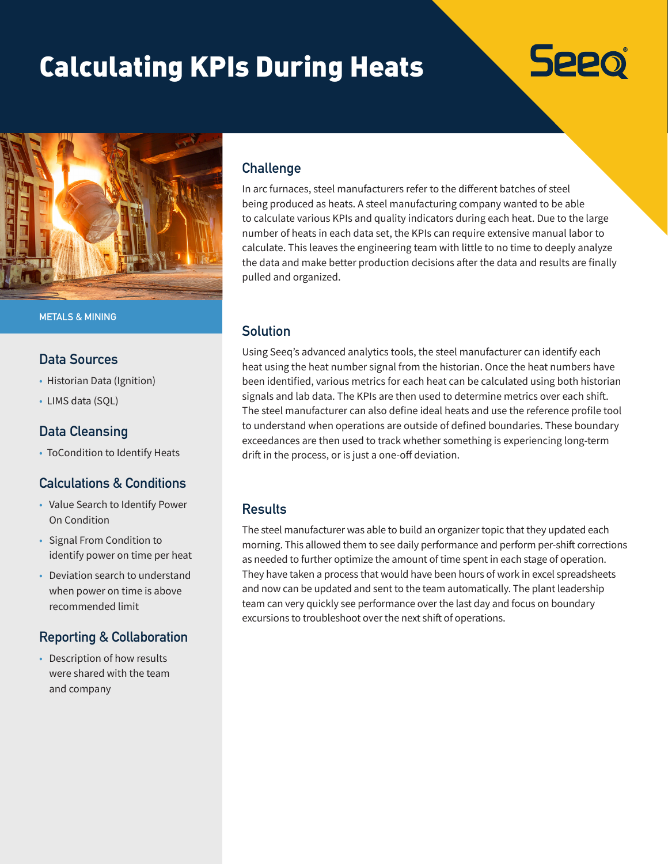# Calculating KPIs During Heats





**METALS & MINING**

#### **Data Sources**

- Historian Data (Ignition)
- LIMS data (SQL)

### **Data Cleansing**

• ToCondition to Identify Heats

# **Calculations & Conditions**

- Value Search to Identify Power On Condition
- Signal From Condition to identify power on time per heat
- Deviation search to understand when power on time is above recommended limit

# **Reporting & Collaboration**

• Description of how results were shared with the team and company

# **Challenge**

In arc furnaces, steel manufacturers refer to the different batches of steel being produced as heats. A steel manufacturing company wanted to be able to calculate various KPIs and quality indicators during each heat. Due to the large number of heats in each data set, the KPIs can require extensive manual labor to calculate. This leaves the engineering team with little to no time to deeply analyze the data and make better production decisions after the data and results are finally pulled and organized.

# **Solution**

Using Seeq's advanced analytics tools, the steel manufacturer can identify each heat using the heat number signal from the historian. Once the heat numbers have been identified, various metrics for each heat can be calculated using both historian signals and lab data. The KPIs are then used to determine metrics over each shift. The steel manufacturer can also define ideal heats and use the reference profile tool to understand when operations are outside of defined boundaries. These boundary exceedances are then used to track whether something is experiencing long-term drift in the process, or is just a one-off deviation.

# **Results**

The steel manufacturer was able to build an organizer topic that they updated each morning. This allowed them to see daily performance and perform per-shift corrections as needed to further optimize the amount of time spent in each stage of operation. They have taken a process that would have been hours of work in excel spreadsheets and now can be updated and sent to the team automatically. The plant leadership team can very quickly see performance over the last day and focus on boundary excursions to troubleshoot over the next shift of operations.